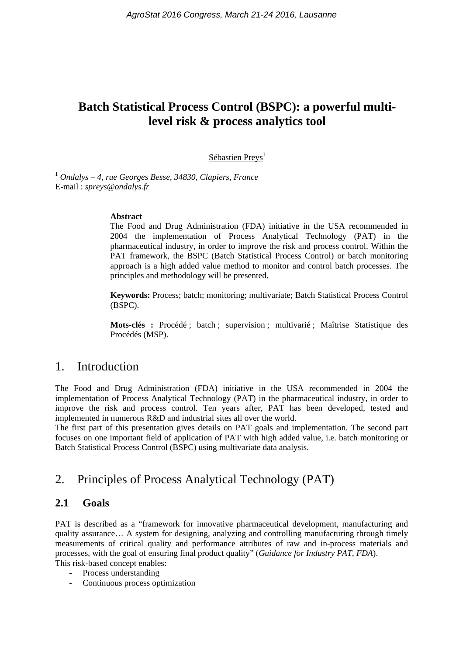# **Batch Statistical Process Control (BSPC): a powerful multilevel risk & process analytics tool**

Sébastien Preys<sup>1</sup>

<sup>1</sup> *Ondalys – 4, rue Georges Besse, 34830, Clapiers, France*  E-mail : *spreys@ondalys.fr* 

#### **Abstract**

The Food and Drug Administration (FDA) initiative in the USA recommended in 2004 the implementation of Process Analytical Technology (PAT) in the pharmaceutical industry, in order to improve the risk and process control. Within the PAT framework, the BSPC (Batch Statistical Process Control) or batch monitoring approach is a high added value method to monitor and control batch processes. The principles and methodology will be presented.

**Keywords:** Process; batch; monitoring; multivariate; Batch Statistical Process Control (BSPC).

**Mots-clés :** Procédé ; batch ; supervision ; multivarié ; Maîtrise Statistique des Procédés (MSP).

## 1. Introduction

The Food and Drug Administration (FDA) initiative in the USA recommended in 2004 the implementation of Process Analytical Technology (PAT) in the pharmaceutical industry, in order to improve the risk and process control. Ten years after, PAT has been developed, tested and implemented in numerous R&D and industrial sites all over the world.

The first part of this presentation gives details on PAT goals and implementation. The second part focuses on one important field of application of PAT with high added value, i.e. batch monitoring or Batch Statistical Process Control (BSPC) using multivariate data analysis.

## 2. Principles of Process Analytical Technology (PAT)

### **2.1 Goals**

PAT is described as a "framework for innovative pharmaceutical development, manufacturing and quality assurance… A system for designing, analyzing and controlling manufacturing through timely measurements of critical quality and performance attributes of raw and in-process materials and processes, with the goal of ensuring final product quality" (*Guidance for Industry PAT, FDA*). This risk-based concept enables:

- Process understanding
- Continuous process optimization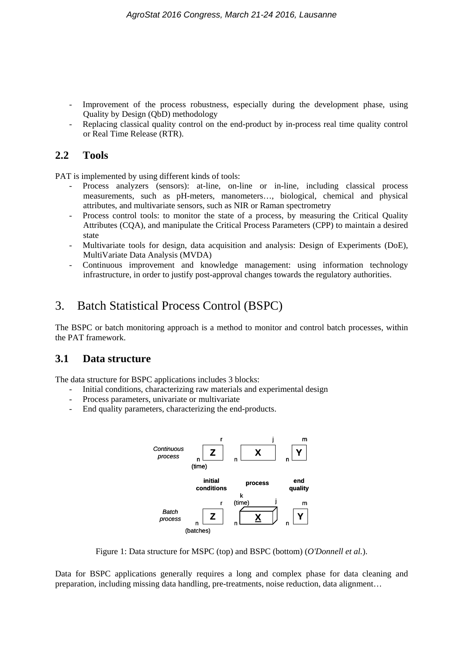- Improvement of the process robustness, especially during the development phase, using Quality by Design (QbD) methodology
- Replacing classical quality control on the end-product by in-process real time quality control or Real Time Release (RTR).

## **2.2 Tools**

PAT is implemented by using different kinds of tools:

- Process analyzers (sensors): at-line, on-line or in-line, including classical process measurements, such as pH-meters, manometers…, biological, chemical and physical attributes, and multivariate sensors, such as NIR or Raman spectrometry
- Process control tools: to monitor the state of a process, by measuring the Critical Quality Attributes (CQA), and manipulate the Critical Process Parameters (CPP) to maintain a desired state
- Multivariate tools for design, data acquisition and analysis: Design of Experiments (DoE), MultiVariate Data Analysis (MVDA)
- Continuous improvement and knowledge management: using information technology infrastructure, in order to justify post-approval changes towards the regulatory authorities.

## 3. Batch Statistical Process Control (BSPC)

The BSPC or batch monitoring approach is a method to monitor and control batch processes, within the PAT framework.

### **3.1 Data structure**

The data structure for BSPC applications includes 3 blocks:

- Initial conditions, characterizing raw materials and experimental design
- Process parameters, univariate or multivariate
- End quality parameters, characterizing the end-products.



Figure 1: Data structure for MSPC (top) and BSPC (bottom) (*O'Donnell et al.*).

Data for BSPC applications generally requires a long and complex phase for data cleaning and preparation, including missing data handling, pre-treatments, noise reduction, data alignment…